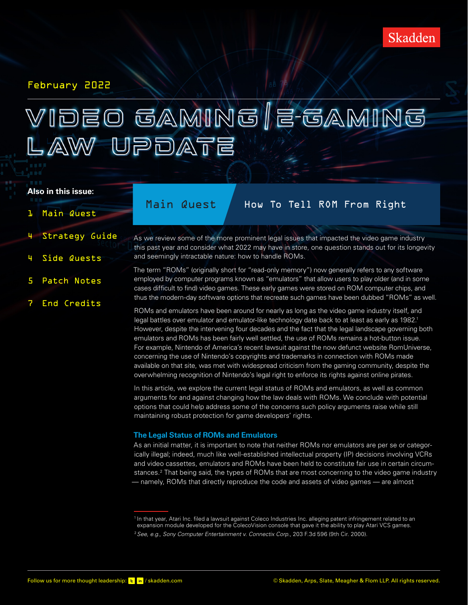### February 2022

# VIDEO GAMING | E-GAMING LAW UPDATE

#### **Also in this issue:**

### 1 Main Quest

4 [Side Quests](#page-3-1)

5 [Patch Notes](#page-4-0)

7 [End Credits](#page-6-0)

4 [Strategy Guide](#page-3-0)

## Main Quest / How To Tell ROM From Right

- As we review some of the more prominent legal issues that impacted the video game industry this past year and consider what 2022 may have in store, one question stands out for its longevity and seemingly intractable nature: how to handle ROMs.
	- The term "ROMs" (originally short for "read-only memory") now generally refers to any software employed by computer programs known as "emulators" that allow users to play older (and in some cases difficult to find) video games. These early games were stored on ROM computer chips, and thus the modern-day software options that recreate such games have been dubbed "ROMs" as well.

ROMs and emulators have been around for nearly as long as the video game industry itself, and legal battles over emulator and emulator-like technology date back to at least as early as 1982.<sup>1</sup> However, despite the intervening four decades and the fact that the legal landscape governing both emulators and ROMs has been fairly well settled, the use of ROMs remains a hot-button issue. For example, Nintendo of America's recent lawsuit against the now defunct website RomUniverse, concerning the use of Nintendo's copyrights and trademarks in connection with ROMs made available on that site, was met with widespread criticism from the gaming community, despite the overwhelming recognition of Nintendo's legal right to enforce its rights against online pirates.

In this article, we explore the current legal status of ROMs and emulators, as well as common arguments for and against changing how the law deals with ROMs. We conclude with potential options that could help address some of the concerns such policy arguments raise while still maintaining robust protection for game developers' rights.

#### **The Legal Status of ROMs and Emulators**

As an initial matter, it is important to note that neither ROMs nor emulators are per se or categorically illegal; indeed, much like well-established intellectual property (IP) decisions involving VCRs and video cassettes, emulators and ROMs have been held to constitute fair use in certain circumstances.<sup>2</sup> That being said, the types of ROMs that are most concerning to the video game industry — namely, ROMs that directly reproduce the code and assets of video games — are almost

<sup>&</sup>lt;sup>1</sup> In that year, Atari Inc. filed a lawsuit against Coleco Industries Inc. alleging patent infringement related to an expansion module developed for the ColecoVision console that gave it the ability to play Atari VCS games. <sup>2</sup>*See, e.g., Sony Computer Entertainment v. Connectix Corp*., 203 F.3d 596 (9th Cir. 2000).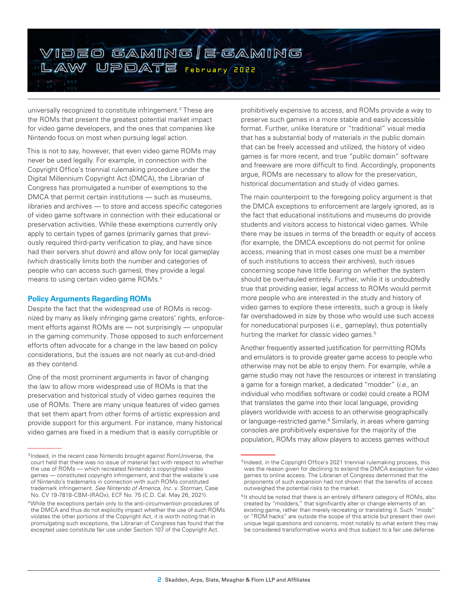

universally recognized to constitute infringement.3 These are the ROMs that present the greatest potential market impact for video game developers, and the ones that companies like Nintendo focus on most when pursuing legal action.

This is not to say, however, that even video game ROMs may never be used legally. For example, in connection with the Copyright Office's triennial rulemaking procedure under the Digital Millennium Copyright Act (DMCA), the Librarian of Congress has promulgated a number of exemptions to the DMCA that permit certain institutions — such as museums, libraries and archives — to store and access specific categories of video game software in connection with their educational or preservation activities. While these exemptions currently only apply to certain types of games (primarily games that previously required third-party verification to play, and have since had their servers shut down) and allow only for local gameplay (which drastically limits both the number and categories of people who can access such games), they provide a legal means to using certain video game ROMs.4

#### **Policy Arguments Regarding ROMs**

Despite the fact that the widespread use of ROMs is recognized by many as likely infringing game creators' rights, enforcement efforts against ROMs are — not surprisingly — unpopular in the gaming community. Those opposed to such enforcement efforts often advocate for a change in the law based on policy considerations, but the issues are not nearly as cut-and-dried as they contend.

One of the most prominent arguments in favor of changing the law to allow more widespread use of ROMs is that the preservation and historical study of video games requires the use of ROMs. There are many unique features of video games that set them apart from other forms of artistic expression and provide support for this argument. For instance, many historical video games are fixed in a medium that is easily corruptible or

prohibitively expensive to access, and ROMs provide a way to preserve such games in a more stable and easily accessible format. Further, unlike literature or "traditional" visual media that has a substantial body of materials in the public domain that can be freely accessed and utilized, the history of video games is far more recent, and true "public domain" software and freeware are more difficult to find. Accordingly, proponents argue, ROMs are necessary to allow for the preservation, historical documentation and study of video games.

The main counterpoint to the foregoing policy argument is that the DMCA exceptions to enforcement are largely ignored, as is the fact that educational institutions and museums do provide students and visitors access to historical video games. While there may be issues in terms of the breadth or equity of access (for example, the DMCA exceptions do not permit for online access, meaning that in most cases one must be a member of such institutions to access their archives), such issues concerning scope have little bearing on whether the system should be overhauled entirely. Further, while it is undoubtedly true that providing easier, legal access to ROMs would permit more people who are interested in the study and history of video games to explore these interests, such a group is likely far overshadowed in size by those who would use such access for noneducational purposes (*i.e*., gameplay), thus potentially hurting the market for classic video games.<sup>5</sup>

Another frequently asserted justification for permitting ROMs and emulators is to provide greater game access to people who otherwise may not be able to enjoy them. For example, while a game studio may not have the resources or interest in translating a game for a foreign market, a dedicated "modder" (*i.e*., an individual who modifies software or code) could create a ROM that translates the game into their local language, providing players worldwide with access to an otherwise geographically or language-restricted game.<sup>6</sup> Similarly, in areas where gaming consoles are prohibitively expensive for the majority of the population, ROMs may allow players to access games without

<sup>3</sup>Indeed, in the recent case Nintendo brought against RomUniverse, the court held that there was no issue of material fact with respect to whether the use of ROMs — which recreated Nintendo's copyrighted video games — constituted copyright infringement, and that the website's use of Nintendo's trademarks in connection with such ROMs constituted trademark infringement. *See Nintendo of America, Inc. v. Storman*, Case No. CV 19-7818-CBM-(RAOx), ECF No. 75 (C.D. Cal. May 26, 2021).

<sup>4</sup>While the exceptions pertain only to the anti-circumvention procedures of the DMCA and thus do not explicitly impact whether the use of such ROMs violates the other portions of the Copyright Act, it is worth noting that in promulgating such exceptions, the Librarian of Congress has found that the excepted uses constitute fair use under Section 107 of the Copyright Act.

<sup>&</sup>lt;sup>5</sup>Indeed, in the Copyright Office's 2021 triennial rulemaking process, this was the reason given for declining to extend the DMCA exception for video games to online access. The Librarian of Congress determined that the proponents of such expansion had not shown that the benefits of access outweighed the potential risks to the market.

 $6$ It should be noted that there is an entirely different category of ROMs, also created by "modders," that significantly alter or change elements of an existing game, rather than merely recreating or translating it. Such "mods" or "ROM hacks" are outside the scope of this article but present their own unique legal questions and concerns, most notably to what extent they may be considered transformative works and thus subject to a fair use defense.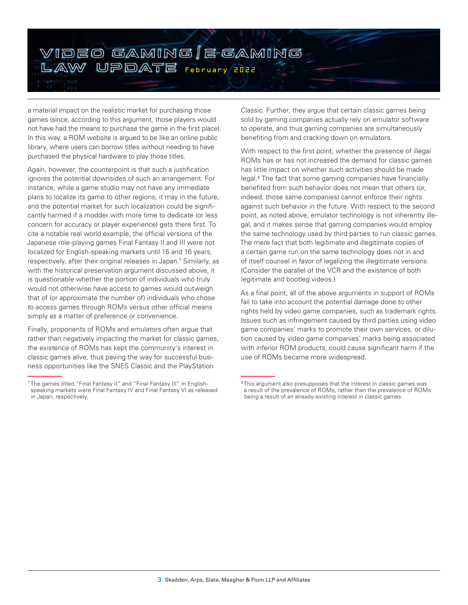

a material impact on the realistic market for purchasing those games (since, according to this argument, those players would not have had the means to purchase the game in the first place). In this way, a ROM website is argued to be like an online public library, where users can borrow titles without needing to have purchased the physical hardware to play those titles.

Again, however, the counterpoint is that such a justification ignores the potential downsides of such an arrangement. For instance, while a game studio may not have any immediate plans to localize its game to other regions, it may in the future, and the potential market for such localization could be significantly harmed if a modder with more time to dedicate (or less concern for accuracy or player experience) gets there first. To cite a notable real world example, the official versions of the Japanese role-playing games Final Fantasy II and III were not localized for English-speaking markets until 15 and 16 years, respectively, after their original releases in Japan.<sup>7</sup> Similarly, as with the historical preservation argument discussed above, it is questionable whether the portion of individuals who truly would not otherwise have access to games would outweigh that of (or approximate the number of) individuals who chose to access games through ROMs versus other official means simply as a matter of preference or convenience.

Finally, proponents of ROMs and emulators often argue that rather than negatively impacting the market for classic games, the existence of ROMs has kept the community's interest in classic games alive, thus paving the way for successful business opportunities like the SNES Classic and the PlayStation

Classic. Further, they argue that certain classic games being sold by gaming companies actually rely on emulator software to operate, and thus gaming companies are simultaneously benefiting from and cracking down on emulators.

With respect to the first point, whether the presence of illegal ROMs has or has not increased the demand for classic games has little impact on whether such activities should be made legal.<sup>8</sup> The fact that some gaming companies have financially benefited from such behavior does not mean that others (or, indeed, those same companies) cannot enforce their rights against such behavior in the future. With respect to the second point, as noted above, emulator technology is not inherently illegal, and it makes sense that gaming companies would employ the same technology used by third parties to run classic games. The mere fact that both legitimate and illegitimate copies of a certain game run on the same technology does not in and of itself counsel in favor of legalizing the illegitimate versions. (Consider the parallel of the VCR and the existence of both legitimate and bootleg videos.)

As a final point, all of the above arguments in support of ROMs fail to take into account the potential damage done to other rights held by video game companies, such as trademark rights. Issues such as infringement caused by third parties using video game companies' marks to promote their own services, or dilution caused by video game companies' marks being associated with inferior ROM products, could cause significant harm if the use of ROMs became more widespread.

<sup>&</sup>lt;sup>7</sup> The games titled "Final Fantasy II" and "Final Fantasy III" in Englishspeaking markets were Final Fantasy IV and Final Fantasy VI as released in Japan, respectively.

<sup>&</sup>lt;sup>8</sup>This argument also presupposes that the interest in classic games was a result of the prevalence of ROMs, rather than the prevalence of ROMs being a result of an already-existing interest in classic games.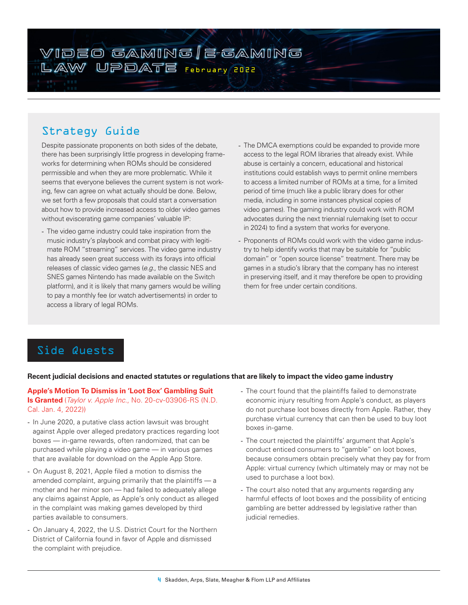# <span id="page-3-0"></span>VIDEO GAMING | E-GAMING LAW UPDATE February 2022

# Strategy Guide

Despite passionate proponents on both sides of the debate, there has been surprisingly little progress in developing frameworks for determining when ROMs should be considered permissible and when they are more problematic. While it seems that everyone believes the current system is not working, few can agree on what actually should be done. Below, we set forth a few proposals that could start a conversation about how to provide increased access to older video games without eviscerating game companies' valuable IP:

- The video game industry could take inspiration from the music industry's playbook and combat piracy with legitimate ROM "streaming" services. The video game industry has already seen great success with its forays into official releases of classic video games (*e.g*., the classic NES and SNES games Nintendo has made available on the Switch platform), and it is likely that many gamers would be willing to pay a monthly fee (or watch advertisements) in order to access a library of legal ROMs.
- The DMCA exemptions could be expanded to provide more access to the legal ROM libraries that already exist. While abuse is certainly a concern, educational and historical institutions could establish ways to permit online members to access a limited number of ROMs at a time, for a limited period of time (much like a public library does for other media, including in some instances physical copies of video games). The gaming industry could work with ROM advocates during the next triennial rulemaking (set to occur in 2024) to find a system that works for everyone.
- Proponents of ROMs could work with the video game industry to help identify works that may be suitable for "public domain" or "open source license" treatment. There may be games in a studio's library that the company has no interest in preserving itself, and it may therefore be open to providing them for free under certain conditions.

# <span id="page-3-1"></span>Side Quests

#### **Recent judicial decisions and enacted statutes or regulations that are likely to impact the video game industry**

#### **Apple's Motion To Dismiss in 'Loot Box' Gambling Suit Is Granted** (*Taylor v. Apple Inc.*, No. 20-cv-03906-RS (N.D. Cal. Jan. 4, 2022))

- In June 2020, a putative class action lawsuit was brought against Apple over alleged predatory practices regarding loot boxes — in-game rewards, often randomized, that can be purchased while playing a video game — in various games that are available for download on the Apple App Store.
- On August 8, 2021, Apple filed a motion to dismiss the amended complaint, arguing primarily that the plaintiffs — a mother and her minor son — had failed to adequately allege any claims against Apple, as Apple's only conduct as alleged in the complaint was making games developed by third parties available to consumers.
- On January 4, 2022, the U.S. District Court for the Northern District of California found in favor of Apple and dismissed the complaint with prejudice.
- The court found that the plaintiffs failed to demonstrate economic injury resulting from Apple's conduct, as players do not purchase loot boxes directly from Apple. Rather, they purchase virtual currency that can then be used to buy loot boxes in-game.
- The court rejected the plaintiffs' argument that Apple's conduct enticed consumers to "gamble" on loot boxes, because consumers obtain precisely what they pay for from Apple: virtual currency (which ultimately may or may not be used to purchase a loot box).
- The court also noted that any arguments regarding any harmful effects of loot boxes and the possibility of enticing gambling are better addressed by legislative rather than judicial remedies.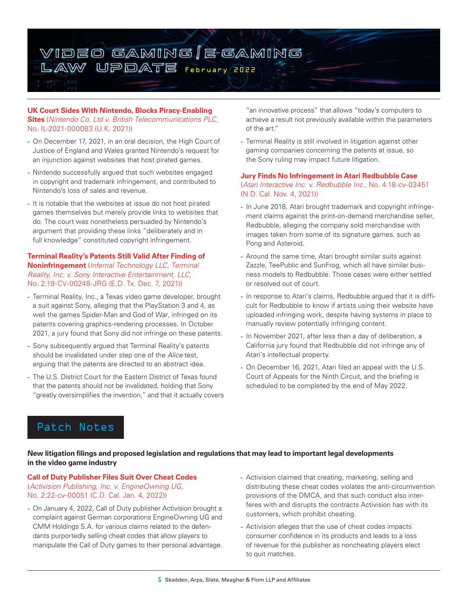

#### **UK Court Sides With Nintendo, Blocks Piracy-Enabling Sites** (*Nintendo Co. Ltd v. British Telecommunications PLC*, No. IL-2021-000083 (U.K. 2021))

- On December 17, 2021, in an oral decision, the High Court of Justice of England and Wales granted Nintendo's request for an injunction against websites that host pirated games.
- Nintendo successfully argued that such websites engaged in copyright and trademark infringement, and contributed to Nintendo's loss of sales and revenue.
- It is notable that the websites at issue do not host pirated games themselves but merely provide links to websites that do. The court was nonetheless persuaded by Nintendo's argument that providing these links "deliberately and in full knowledge" constituted copyright infringement.

#### **Terminal Reality's Patents Still Valid After Finding of Noninfringement** (*Infernal Technology LLC, Terminal Reality, Inc. v. Sony Interactive Entertainment*, *LLC*, No. 2:19-CV-00248-JRG (E.D. Tx. Dec. 7, 2021))

- Terminal Reality, Inc., a Texas video game developer, brought a suit against Sony, alleging that the PlayStation 3 and 4, as well the games Spider-Man and God of War, infringed on its patents covering graphics-rendering processes. In October 2021, a jury found that Sony did not infringe on these patents.
- Sony subsequently argued that Terminal Reality's patents should be invalidated under step one of the *Alice* test, arguing that the patents are directed to an abstract idea.
- The U.S. District Court for the Eastern District of Texas found that the patents should not be invalidated, holding that Sony "greatly oversimplifies the invention," and that it actually covers

"an innovative process" that allows "today's computers to achieve a result not previously available within the parameters of the art."

- Terminal Reality is still involved in litigation against other gaming companies concerning the patents at issue, so the Sony ruling may impact future litigation.

#### **Jury Finds No Infringement in Atari Redbubble Case**

(*Atari Interactive Inc. v. Redbubble Inc*., No. 4:18-cv-03451 (N.D. Cal. Nov. 4, 2021))

- In June 2018, Atari brought trademark and copyright infringement claims against the print-on-demand merchandise seller, Redbubble, alleging the company sold merchandise with images taken from some of its signature games, such as Pong and Asteroid.
- Around the same time, Atari brought similar suits against Zazzle, TeePublic and SunFrog, which all have similar business models to Redbubble. Those cases were either settled or resolved out of court.
- In response to Atari's claims, Redbubble argued that it is difficult for Redbubble to know if artists using their website have uploaded infringing work, despite having systems in place to manually review potentially infringing content.
- In November 2021, after less than a day of deliberation, a California jury found that Redbubble did not infringe any of Atari's intellectual property.
- On December 16, 2021, Atari filed an appeal with the U.S. Court of Appeals for the Ninth Circuit, and the briefing is scheduled to be completed by the end of May 2022.

# <span id="page-4-0"></span>Patch Notes

#### **New litigation filings and proposed legislation and regulations that may lead to important legal developments in the video game industry**

#### **Call of Duty Publisher Files Suit Over Cheat Codes**  (*Activision Publishing, Inc. v. EngineOwning UG*, No. 2:22-cv-00051 (C.D. Cal. Jan. 4, 2022))

- On January 4, 2022, Call of Duty publisher Activision brought a complaint against German corporations EngineOwning UG and CMM Holdings S.A. for various claims related to the defendants purportedly selling cheat codes that allow players to manipulate the Call of Duty games to their personal advantage.
- Activision claimed that creating, marketing, selling and distributing these cheat codes violates the anti-circumvention provisions of the DMCA, and that such conduct also interferes with and disrupts the contracts Activision has with its customers, which prohibit cheating.
- Activision alleges that the use of cheat codes impacts consumer confidence in its products and leads to a loss of revenue for the publisher as noncheating players elect to quit matches.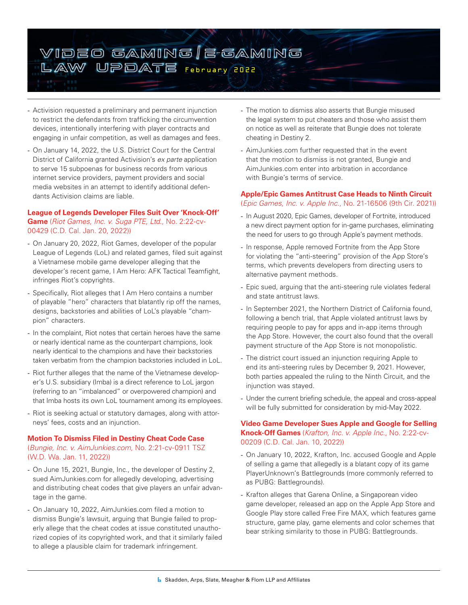

- Activision requested a preliminary and permanent injunction to restrict the defendants from trafficking the circumvention devices, intentionally interfering with player contracts and engaging in unfair competition, as well as damages and fees.
- On January 14, 2022, the U.S. District Court for the Central District of California granted Activision's *ex parte* application to serve 15 subpoenas for business records from various internet service providers, payment providers and social media websites in an attempt to identify additional defendants Activision claims are liable.

#### **League of Legends Developer Files Suit Over 'Knock-Off' Game** (*Riot Games, Inc. v. Suga PTE, Ltd.*, No. 2:22-cv-00429 (C.D. Cal. Jan. 20, 2022))

- On January 20, 2022, Riot Games, developer of the popular League of Legends (LoL) and related games, filed suit against a Vietnamese mobile game developer alleging that the developer's recent game, I Am Hero: AFK Tactical Teamfight, infringes Riot's copyrights.
- Specifically, Riot alleges that I Am Hero contains a number of playable "hero" characters that blatantly rip off the names, designs, backstories and abilities of LoL's playable "champion" characters.
- In the complaint, Riot notes that certain heroes have the same or nearly identical name as the counterpart champions, look nearly identical to the champions and have their backstories taken verbatim from the champion backstories included in LoL.
- Riot further alleges that the name of the Vietnamese developer's U.S. subsidiary (Imba) is a direct reference to LoL jargon (referring to an "imbalanced" or overpowered champion) and that Imba hosts its own LoL tournament among its employees.
- Riot is seeking actual or statutory damages, along with attorneys' fees, costs and an injunction.

#### **Motion To Dismiss Filed in Destiny Cheat Code Case**

(*Bungie, Inc. v. AimJunkies.com*, No. 2:21-cv-0911 TSZ (W.D. Wa. Jan. 11, 2022))

- On June 15, 2021, Bungie, Inc., the developer of Destiny 2, sued AimJunkies.com for allegedly developing, advertising and distributing cheat codes that give players an unfair advantage in the game.
- On January 10, 2022, AimJunkies.com filed a motion to dismiss Bungie's lawsuit, arguing that Bungie failed to properly allege that the cheat codes at issue constituted unauthorized copies of its copyrighted work, and that it similarly failed to allege a plausible claim for trademark infringement.
- The motion to dismiss also asserts that Bungie misused the legal system to put cheaters and those who assist them on notice as well as reiterate that Bungie does not tolerate cheating in Destiny 2.
- AimJunkies.com further requested that in the event that the motion to dismiss is not granted, Bungie and AimJunkies.com enter into arbitration in accordance with Bungie's terms of service.

#### **Apple/Epic Games Antitrust Case Heads to Ninth Circuit**  (*Epic Games, Inc. v. Apple Inc.*, No. 21-16506 (9th Cir. 2021))

- In August 2020, Epic Games, developer of Fortnite, introduced a new direct payment option for in-game purchases, eliminating the need for users to go through Apple's payment methods.
- In response, Apple removed Fortnite from the App Store for violating the "anti-steering" provision of the App Store's terms, which prevents developers from directing users to alternative payment methods.
- Epic sued, arguing that the anti-steering rule violates federal and state antitrust laws.
- In September 2021, the Northern District of California found, following a bench trial, that Apple violated antitrust laws by requiring people to pay for apps and in-app items through the App Store. However, the court also found that the overall payment structure of the App Store is not monopolistic.
- The district court issued an injunction requiring Apple to end its anti-steering rules by December 9, 2021. However, both parties appealed the ruling to the Ninth Circuit, and the injunction was stayed.
- Under the current briefing schedule, the appeal and cross-appeal will be fully submitted for consideration by mid-May 2022.

#### **Video Game Developer Sues Apple and Google for Selling Knock-Off Games** (*Krafton, Inc. v. Apple Inc.*, No. 2:22-cv-00209 (C.D. Cal. Jan. 10, 2022))

- On January 10, 2022, Krafton, Inc. accused Google and Apple of selling a game that allegedly is a blatant copy of its game PlayerUnknown's Battlegrounds (more commonly referred to as PUBG: Battlegrounds).
- Krafton alleges that Garena Online, a Singaporean video game developer, released an app on the Apple App Store and Google Play store called Free Fire MAX, which features game structure, game play, game elements and color schemes that bear striking similarity to those in PUBG: Battlegrounds.